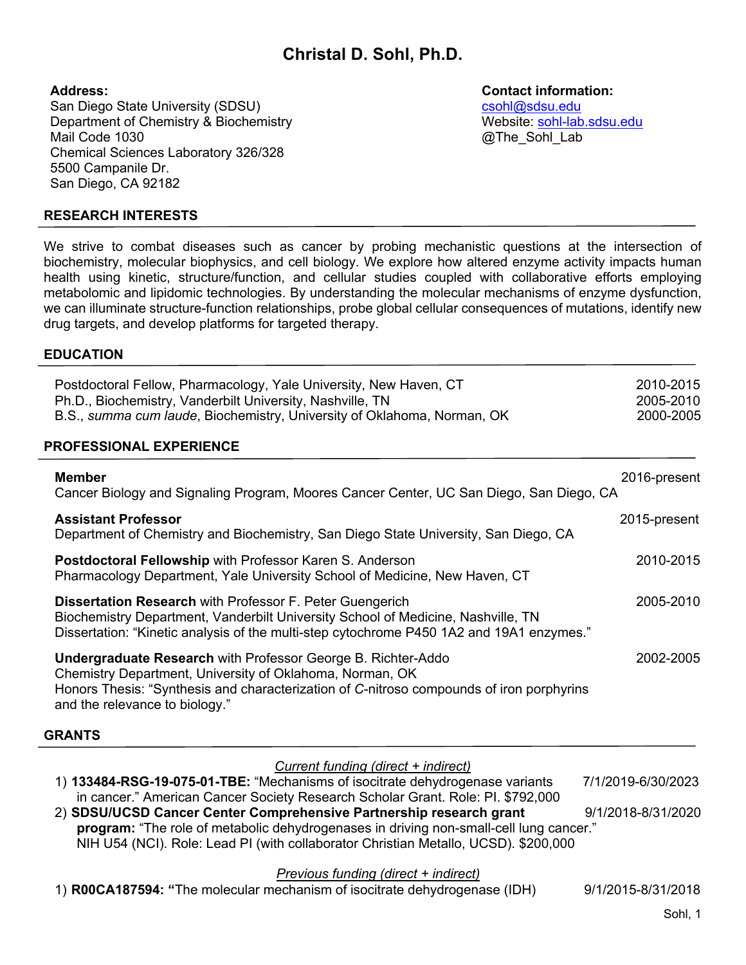# **Christal D. Sohl, Ph.D.**

#### **Address:**

San Diego State University (SDSU) Department of Chemistry & Biochemistry Mail Code 1030 Chemical Sciences Laboratory 326/328 5500 Campanile Dr. San Diego, CA 92182

### **Contact information:**

csohl@sdsu.edu Website: sohl-lab.sdsu.edu @The Sohl Lab

## **RESEARCH INTERESTS**

We strive to combat diseases such as cancer by probing mechanistic questions at the intersection of biochemistry, molecular biophysics, and cell biology. We explore how altered enzyme activity impacts human health using kinetic, structure/function, and cellular studies coupled with collaborative efforts employing metabolomic and lipidomic technologies. By understanding the molecular mechanisms of enzyme dysfunction, we can illuminate structure-function relationships, probe global cellular consequences of mutations, identify new drug targets, and develop platforms for targeted therapy.

#### **EDUCATION**

| Postdoctoral Fellow, Pharmacology, Yale University, New Haven, CT<br>Ph.D., Biochemistry, Vanderbilt University, Nashville, TN | 2010-2015<br>2005-2010 |  |
|--------------------------------------------------------------------------------------------------------------------------------|------------------------|--|
| B.S., summa cum laude, Biochemistry, University of Oklahoma, Norman, OK                                                        | 2000-2005              |  |
| DDAEECCIANAI EVDEDIENAE                                                                                                        |                        |  |

#### **PROFESSIONAL EXPERIENCE**

| <b>Member</b><br>Cancer Biology and Signaling Program, Moores Cancer Center, UC San Diego, San Diego, CA                                                                                                                                                      | 2016-present |
|---------------------------------------------------------------------------------------------------------------------------------------------------------------------------------------------------------------------------------------------------------------|--------------|
| <b>Assistant Professor</b><br>Department of Chemistry and Biochemistry, San Diego State University, San Diego, CA                                                                                                                                             | 2015-present |
| <b>Postdoctoral Fellowship with Professor Karen S. Anderson</b><br>Pharmacology Department, Yale University School of Medicine, New Haven, CT                                                                                                                 | 2010-2015    |
| <b>Dissertation Research with Professor F. Peter Guengerich</b><br>Biochemistry Department, Vanderbilt University School of Medicine, Nashville, TN<br>Dissertation: "Kinetic analysis of the multi-step cytochrome P450 1A2 and 19A1 enzymes."               | 2005-2010    |
| <b>Undergraduate Research with Professor George B. Richter-Addo</b><br>Chemistry Department, University of Oklahoma, Norman, OK<br>Honors Thesis: "Synthesis and characterization of C-nitroso compounds of iron porphyrins<br>and the relevance to biology." | 2002-2005    |
| <b>GRANTS</b>                                                                                                                                                                                                                                                 |              |

#### *Current funding (direct + indirect)* 1) **133484-RSG-19-075-01-TBE:** "Mechanisms of isocitrate dehydrogenase variants 7/1/2019-6/30/2023 in cancer." American Cancer Society Research Scholar Grant. Role: PI. \$792,000 2) **SDSU/UCSD Cancer Center Comprehensive Partnership research grant** 9/1/2018-8/31/2020 **program:** "The role of metabolic dehydrogenases in driving non-small-cell lung cancer." NIH U54 (NCI). Role: Lead PI (with collaborator Christian Metallo, UCSD). \$200,000

*Previous funding (direct + indirect)*

1) **R00CA187594: "**The molecular mechanism of isocitrate dehydrogenase (IDH) 9/1/2015-8/31/2018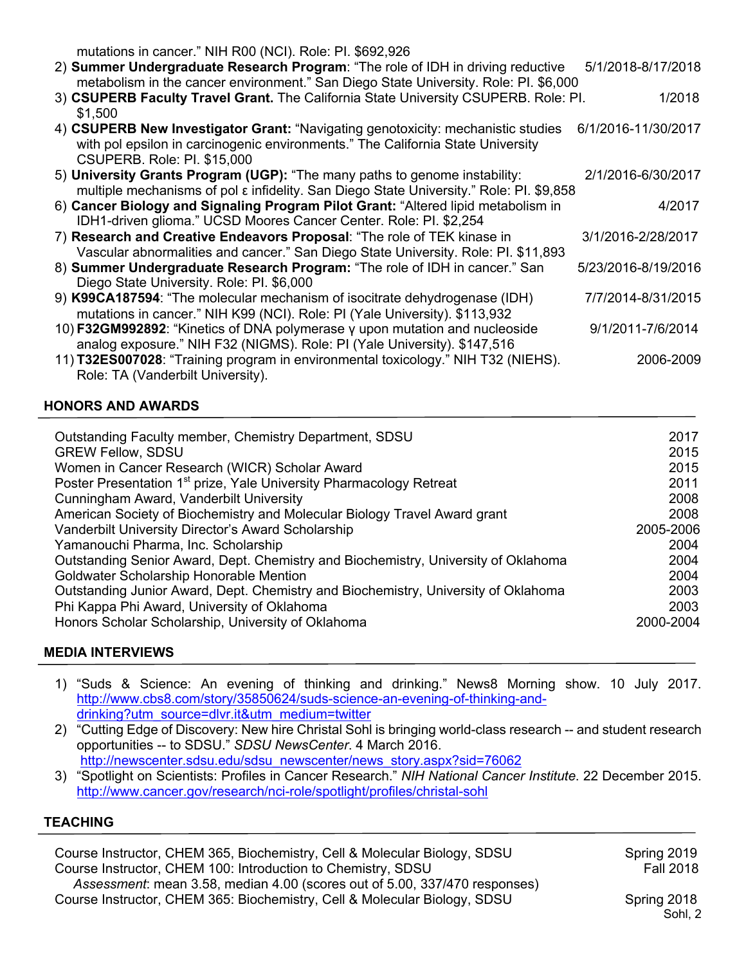mutations in cancer." NIH R00 (NCI). Role: PI. \$692,926

| 2) Summer Undergraduate Research Program: "The role of IDH in driving reductive      | 5/1/2018-8/17/2018  |
|--------------------------------------------------------------------------------------|---------------------|
| metabolism in the cancer environment." San Diego State University. Role: PI. \$6,000 |                     |
| 3) CSUPERB Faculty Travel Grant. The California State University CSUPERB. Role: Pl.  | 1/2018              |
| \$1.500                                                                              |                     |
| 4) CSUPERB New Investigator Grant: "Navigating genotoxicity: mechanistic studies     | 6/1/2016-11/30/2017 |
| with pol epsilon in carcinogenic environments." The California State University      |                     |
| <b>CSUPERB. Role: PI. \$15,000</b>                                                   |                     |
|                                                                                      |                     |

- 5) **University Grants Program (UGP):** "The many paths to genome instability: 2/1/2016-6/30/2017 multiple mechanisms of pol ε infidelity. San Diego State University." Role: PI. \$9,858
- 6) **Cancer Biology and Signaling Program Pilot Grant:** "Altered lipid metabolism in 4/2017 IDH1-driven glioma." UCSD Moores Cancer Center. Role: PI. \$2,254
- 7) **Research and Creative Endeavors Proposal**: "The role of TEK kinase in 3/1/2016-2/28/2017 Vascular abnormalities and cancer." San Diego State University. Role: PI. \$11,893 8) **Summer Undergraduate Research Program:** "The role of IDH in cancer." San 5/23/2016-8/19/2016 Diego State University. Role: PI. \$6,000 9) **K99CA187594**: "The molecular mechanism of isocitrate dehydrogenase (IDH) 7/7/2014-8/31/2015
- mutations in cancer." NIH K99 (NCI). Role: PI (Yale University). \$113,932 10) **F32GM992892**: "Kinetics of DNA polymerase γ upon mutation and nucleoside 9/1/2011-7/6/2014 analog exposure." NIH F32 (NIGMS). Role: PI (Yale University). \$147,516
- 11) **T32ES007028**: "Training program in environmental toxicology." NIH T32 (NIEHS). 2006-2009 Role: TA (Vanderbilt University).

## **HONORS AND AWARDS**

| Outstanding Faculty member, Chemistry Department, SDSU<br><b>GREW Fellow, SDSU</b> | 2017<br>2015 |
|------------------------------------------------------------------------------------|--------------|
| Women in Cancer Research (WICR) Scholar Award                                      | 2015         |
| Poster Presentation 1 <sup>st</sup> prize, Yale University Pharmacology Retreat    | 2011         |
| Cunningham Award, Vanderbilt University                                            | 2008         |
| American Society of Biochemistry and Molecular Biology Travel Award grant          | 2008         |
| Vanderbilt University Director's Award Scholarship                                 | 2005-2006    |
| Yamanouchi Pharma, Inc. Scholarship                                                | 2004         |
| Outstanding Senior Award, Dept. Chemistry and Biochemistry, University of Oklahoma | 2004         |
| Goldwater Scholarship Honorable Mention                                            | 2004         |
| Outstanding Junior Award, Dept. Chemistry and Biochemistry, University of Oklahoma | 2003         |
| Phi Kappa Phi Award, University of Oklahoma                                        | 2003         |
| Honors Scholar Scholarship, University of Oklahoma                                 | 2000-2004    |

## **MEDIA INTERVIEWS**

- 1) "Suds & Science: An evening of thinking and drinking." News8 Morning show. 10 July 2017. http://www.cbs8.com/story/35850624/suds-science-an-evening-of-thinking-anddrinking?utm\_source=dlvr.it&utm\_medium=twitter
- 2) "Cutting Edge of Discovery: New hire Christal Sohl is bringing world-class research -- and student research opportunities -- to SDSU." *SDSU NewsCenter*. 4 March 2016. http://newscenter.sdsu.edu/sdsu\_newscenter/news\_story.aspx?sid=76062
- 3) "Spotlight on Scientists: Profiles in Cancer Research." *NIH National Cancer Institute*. 22 December 2015. http://www.cancer.gov/research/nci-role/spotlight/profiles/christal-sohl

#### **TEACHING**

Course Instructor, CHEM 365, Biochemistry, Cell & Molecular Biology, SDSU Spring 2019 Course Instructor, CHEM 100: Introduction to Chemistry, SDSU Fall 2018 *Assessment*: mean 3.58, median 4.00 (scores out of 5.00, 337/470 responses) Course Instructor, CHEM 365: Biochemistry, Cell & Molecular Biology, SDSU Spring 2018

Sohl, 2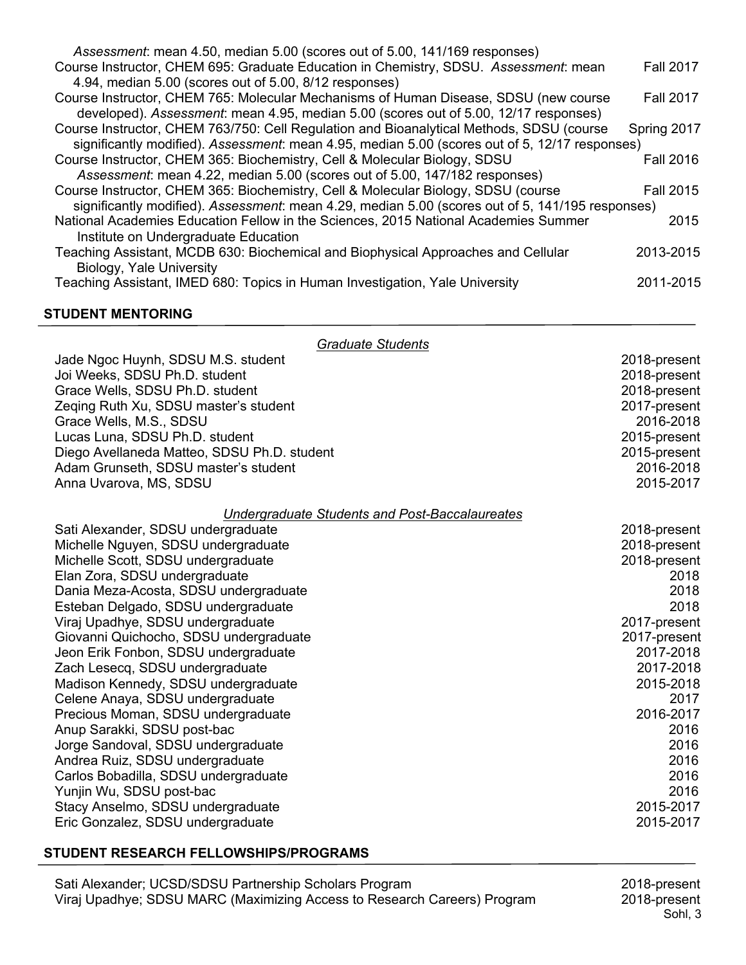| Assessment: mean 4.50, median 5.00 (scores out of 5.00, 141/169 responses)                       |                  |
|--------------------------------------------------------------------------------------------------|------------------|
| Course Instructor, CHEM 695: Graduate Education in Chemistry, SDSU. Assessment: mean             | <b>Fall 2017</b> |
| 4.94, median 5.00 (scores out of 5.00, 8/12 responses)                                           |                  |
| Course Instructor, CHEM 765: Molecular Mechanisms of Human Disease, SDSU (new course             | <b>Fall 2017</b> |
| developed). Assessment: mean 4.95, median 5.00 (scores out of 5.00, 12/17 responses)             |                  |
| Course Instructor, CHEM 763/750: Cell Regulation and Bioanalytical Methods, SDSU (course         | Spring 2017      |
| significantly modified). Assessment: mean 4.95, median 5.00 (scores out of 5, 12/17 responses)   |                  |
| Course Instructor, CHEM 365: Biochemistry, Cell & Molecular Biology, SDSU                        | <b>Fall 2016</b> |
| Assessment: mean 4.22, median 5.00 (scores out of 5.00, 147/182 responses)                       |                  |
| Course Instructor, CHEM 365: Biochemistry, Cell & Molecular Biology, SDSU (course                | <b>Fall 2015</b> |
| significantly modified). Assessment: mean 4.29, median 5.00 (scores out of 5, 141/195 responses) |                  |
| National Academies Education Fellow in the Sciences, 2015 National Academies Summer              | 2015             |
| Institute on Undergraduate Education                                                             |                  |
| Teaching Assistant, MCDB 630: Biochemical and Biophysical Approaches and Cellular                | 2013-2015        |
| Biology, Yale University                                                                         |                  |
| Teaching Assistant, IMED 680: Topics in Human Investigation, Yale University                     | 2011-2015        |
|                                                                                                  |                  |

#### **STUDENT MENTORING**

| <b>Graduate Students</b>                              |              |
|-------------------------------------------------------|--------------|
| Jade Ngoc Huynh, SDSU M.S. student                    | 2018-present |
| Joi Weeks, SDSU Ph.D. student                         | 2018-present |
| Grace Wells, SDSU Ph.D. student                       | 2018-present |
| Zeging Ruth Xu, SDSU master's student                 | 2017-present |
| Grace Wells, M.S., SDSU                               | 2016-2018    |
| Lucas Luna, SDSU Ph.D. student                        | 2015-present |
| Diego Avellaneda Matteo, SDSU Ph.D. student           | 2015-present |
| Adam Grunseth, SDSU master's student                  | 2016-2018    |
| Anna Uvarova, MS, SDSU                                | 2015-2017    |
| <b>Undergraduate Students and Post-Baccalaureates</b> |              |
| Sati Alexander, SDSU undergraduate                    | 2018-present |
| Michelle Nguyen, SDSU undergraduate                   | 2018-present |
| Michelle Scott, SDSU undergraduate                    | 2018-present |
| Elan Zora, SDSU undergraduate                         | 2018         |
| Dania Meza-Acosta, SDSU undergraduate                 | 2018         |
| Esteban Delgado, SDSU undergraduate                   | 2018         |
| Viraj Upadhye, SDSU undergraduate                     | 2017-present |
| Giovanni Quichocho, SDSU undergraduate                | 2017-present |
| Jeon Erik Fonbon, SDSU undergraduate                  | 2017-2018    |
| Zach Lesecq, SDSU undergraduate                       | 2017-2018    |
| Madison Kennedy, SDSU undergraduate                   | 2015-2018    |
| Celene Anaya, SDSU undergraduate                      | 2017         |
| Precious Moman, SDSU undergraduate                    | 2016-2017    |
| Anup Sarakki, SDSU post-bac                           | 2016         |
| Jorge Sandoval, SDSU undergraduate                    | 2016         |
| Andrea Ruiz, SDSU undergraduate                       | 2016         |
| Carlos Bobadilla, SDSU undergraduate                  | 2016         |
| Yunjin Wu, SDSU post-bac                              | 2016         |
| Stacy Anselmo, SDSU undergraduate                     | 2015-2017    |
| Eric Gonzalez, SDSU undergraduate                     | 2015-2017    |

## **STUDENT RESEARCH FELLOWSHIPS/PROGRAMS**

2018-present<br>Sohl, 3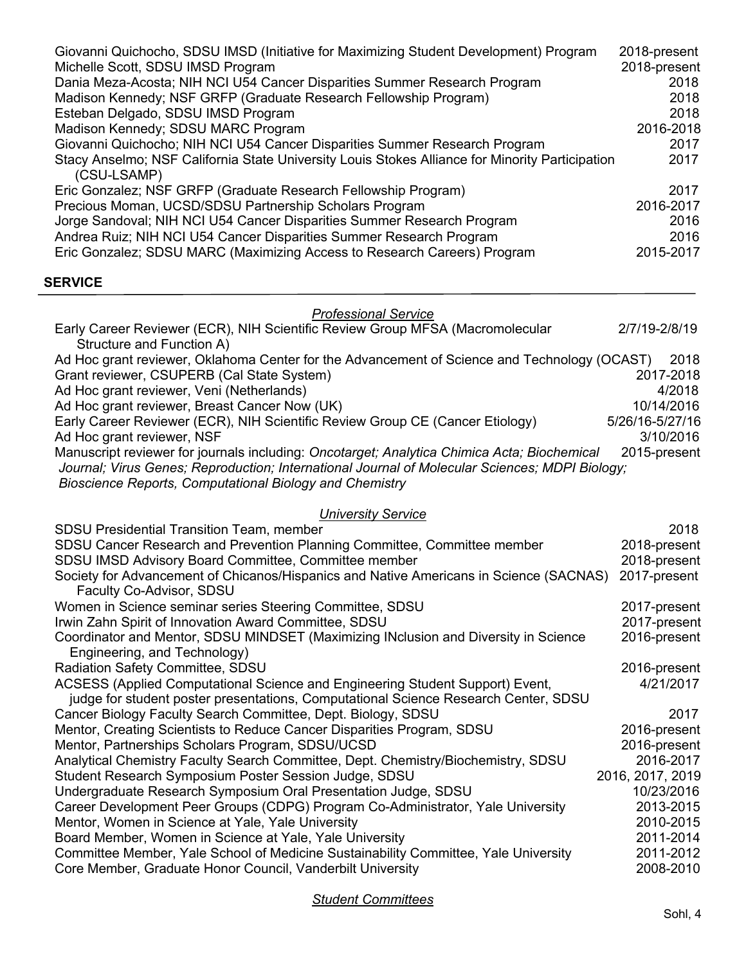| Giovanni Quichocho, SDSU IMSD (Initiative for Maximizing Student Development) Program                          | 2018-present |
|----------------------------------------------------------------------------------------------------------------|--------------|
| Michelle Scott, SDSU IMSD Program                                                                              | 2018-present |
| Dania Meza-Acosta; NIH NCI U54 Cancer Disparities Summer Research Program                                      | 2018         |
| Madison Kennedy; NSF GRFP (Graduate Research Fellowship Program)                                               | 2018         |
| Esteban Delgado, SDSU IMSD Program                                                                             | 2018         |
| Madison Kennedy; SDSU MARC Program                                                                             | 2016-2018    |
| Giovanni Quichocho; NIH NCI U54 Cancer Disparities Summer Research Program                                     | 2017         |
| Stacy Anselmo; NSF California State University Louis Stokes Alliance for Minority Participation<br>(CSU-LSAMP) | 2017         |
| Eric Gonzalez; NSF GRFP (Graduate Research Fellowship Program)                                                 | 2017         |
| Precious Moman, UCSD/SDSU Partnership Scholars Program                                                         | 2016-2017    |
| Jorge Sandoval; NIH NCI U54 Cancer Disparities Summer Research Program                                         | 2016         |
| Andrea Ruiz; NIH NCI U54 Cancer Disparities Summer Research Program                                            | 2016         |
| Eric Gonzalez; SDSU MARC (Maximizing Access to Research Careers) Program                                       | 2015-2017    |
|                                                                                                                |              |

# **SERVICE**

| <b>Professional Service</b> |  |
|-----------------------------|--|
|-----------------------------|--|

| Early Career Reviewer (ECR), NIH Scientific Review Group MFSA (Macromolecular                  | 2/7/19-2/8/19   |        |
|------------------------------------------------------------------------------------------------|-----------------|--------|
| Structure and Function A)                                                                      |                 |        |
| Ad Hoc grant reviewer, Oklahoma Center for the Advancement of Science and Technology (OCAST)   |                 | 2018   |
| Grant reviewer, CSUPERB (Cal State System)                                                     | 2017-2018       |        |
| Ad Hoc grant reviewer, Veni (Netherlands)                                                      |                 | 4/2018 |
| Ad Hoc grant reviewer, Breast Cancer Now (UK)                                                  | 10/14/2016      |        |
| Early Career Reviewer (ECR), NIH Scientific Review Group CE (Cancer Etiology)                  | 5/26/16-5/27/16 |        |
| Ad Hoc grant reviewer, NSF                                                                     | 3/10/2016       |        |
| Manuscript reviewer for journals including: Oncotarget; Analytica Chimica Acta; Biochemical    | 2015-present    |        |
| Journal; Virus Genes; Reproduction; International Journal of Molecular Sciences; MDPI Biology; |                 |        |
| Bioscience Reports, Computational Biology and Chemistry                                        |                 |        |

# *University Service*

| <b>SDSU Presidential Transition Team, member</b>                                       | 2018             |
|----------------------------------------------------------------------------------------|------------------|
| SDSU Cancer Research and Prevention Planning Committee, Committee member               | 2018-present     |
| SDSU IMSD Advisory Board Committee, Committee member                                   | 2018-present     |
| Society for Advancement of Chicanos/Hispanics and Native Americans in Science (SACNAS) | 2017-present     |
| Faculty Co-Advisor, SDSU                                                               |                  |
| Women in Science seminar series Steering Committee, SDSU                               | 2017-present     |
| Irwin Zahn Spirit of Innovation Award Committee, SDSU                                  | 2017-present     |
| Coordinator and Mentor, SDSU MINDSET (Maximizing INclusion and Diversity in Science    | 2016-present     |
| Engineering, and Technology)                                                           |                  |
| Radiation Safety Committee, SDSU                                                       | 2016-present     |
| ACSESS (Applied Computational Science and Engineering Student Support) Event,          | 4/21/2017        |
| judge for student poster presentations, Computational Science Research Center, SDSU    |                  |
| Cancer Biology Faculty Search Committee, Dept. Biology, SDSU                           | 2017             |
| Mentor, Creating Scientists to Reduce Cancer Disparities Program, SDSU                 | 2016-present     |
| Mentor, Partnerships Scholars Program, SDSU/UCSD                                       | 2016-present     |
| Analytical Chemistry Faculty Search Committee, Dept. Chemistry/Biochemistry, SDSU      | 2016-2017        |
| Student Research Symposium Poster Session Judge, SDSU                                  | 2016, 2017, 2019 |
| Undergraduate Research Symposium Oral Presentation Judge, SDSU                         | 10/23/2016       |
| Career Development Peer Groups (CDPG) Program Co-Administrator, Yale University        | 2013-2015        |
| Mentor, Women in Science at Yale, Yale University                                      | 2010-2015        |
| Board Member, Women in Science at Yale, Yale University                                | 2011-2014        |
| Committee Member, Yale School of Medicine Sustainability Committee, Yale University    | 2011-2012        |
| Core Member, Graduate Honor Council, Vanderbilt University                             | 2008-2010        |
|                                                                                        |                  |

*Student Committees*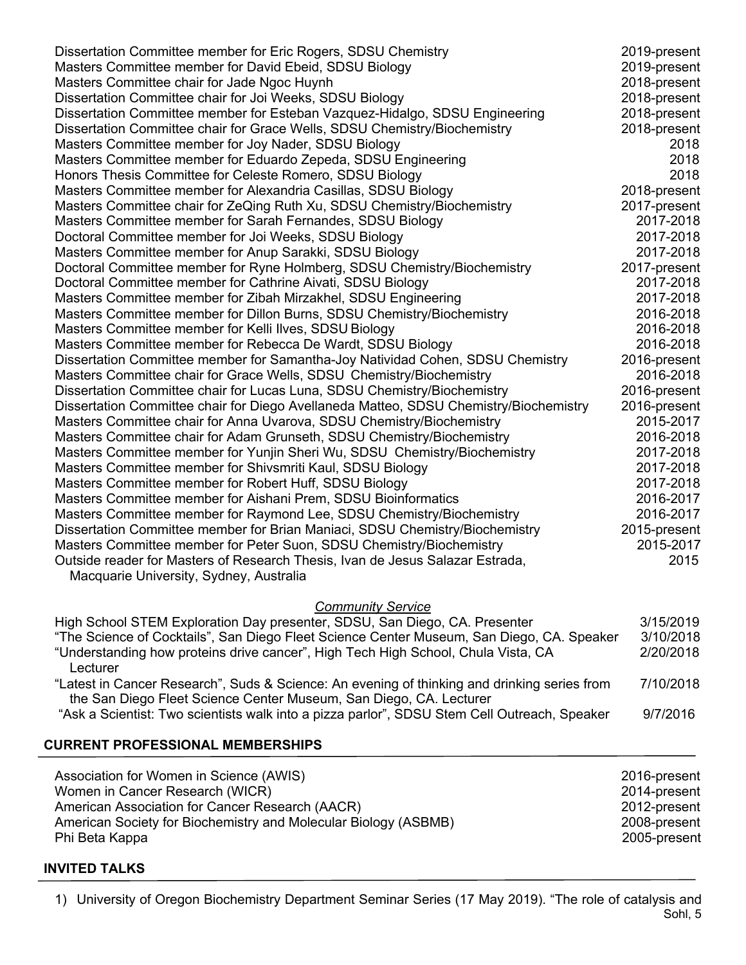| 2019-present |
|--------------|
| 2019-present |
| 2018-present |
| 2018-present |
| 2018-present |
| 2018-present |
| 2018         |
| 2018         |
| 2018         |
| 2018-present |
| 2017-present |
| 2017-2018    |
| 2017-2018    |
| 2017-2018    |
| 2017-present |
| 2017-2018    |
| 2017-2018    |
| 2016-2018    |
| 2016-2018    |
| 2016-2018    |
| 2016-present |
| 2016-2018    |
| 2016-present |
| 2016-present |
| 2015-2017    |
| 2016-2018    |
| 2017-2018    |
| 2017-2018    |
| 2017-2018    |
| 2016-2017    |
| 2016-2017    |
| 2015-present |
| 2015-2017    |
| 2015         |
|              |
|              |
|              |

### *Community Service*

| 3/15/2019 |
|-----------|
| 3/10/2018 |
| 2/20/2018 |
|           |
| 7/10/2018 |
|           |
| 9/7/2016  |
|           |

# **CURRENT PROFESSIONAL MEMBERSHIPS**

| Association for Women in Science (AWIS)                         | 2016-present |
|-----------------------------------------------------------------|--------------|
| Women in Cancer Research (WICR)                                 | 2014-present |
| American Association for Cancer Research (AACR)                 | 2012-present |
| American Society for Biochemistry and Molecular Biology (ASBMB) | 2008-present |
| Phi Beta Kappa                                                  | 2005-present |

## **INVITED TALKS**

Sohl, 5 1) University of Oregon Biochemistry Department Seminar Series (17 May 2019). "The role of catalysis and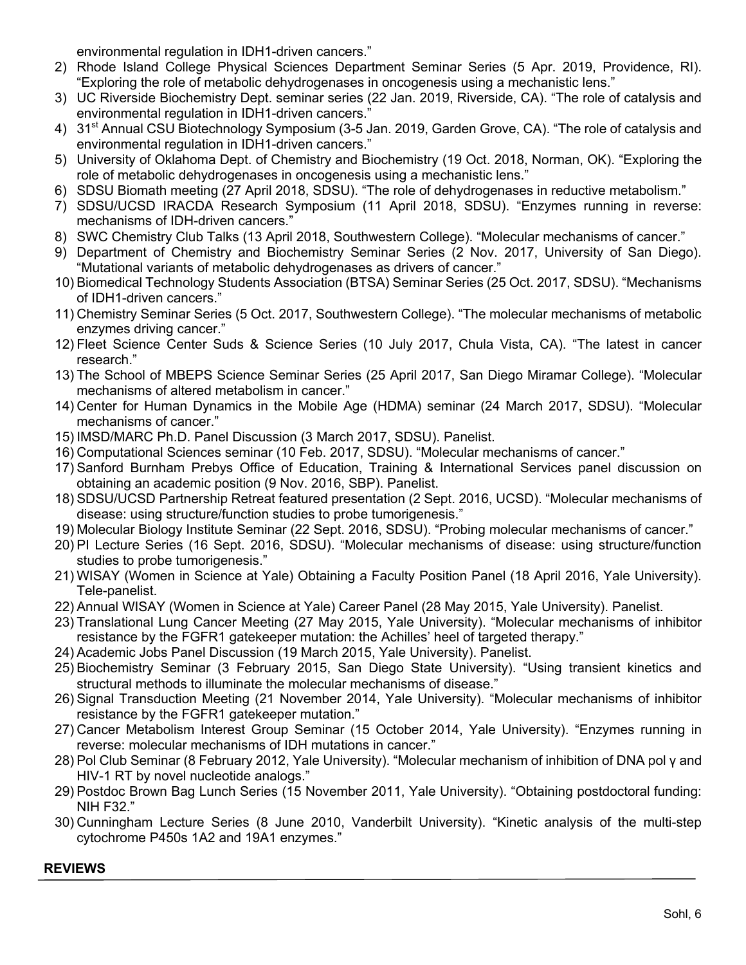environmental regulation in IDH1-driven cancers."

- 2) Rhode Island College Physical Sciences Department Seminar Series (5 Apr. 2019, Providence, RI). "Exploring the role of metabolic dehydrogenases in oncogenesis using a mechanistic lens."
- 3) UC Riverside Biochemistry Dept. seminar series (22 Jan. 2019, Riverside, CA). "The role of catalysis and environmental regulation in IDH1-driven cancers."
- 4) 31<sup>st</sup> Annual CSU Biotechnology Symposium (3-5 Jan. 2019, Garden Grove, CA). "The role of catalysis and environmental regulation in IDH1-driven cancers."
- 5) University of Oklahoma Dept. of Chemistry and Biochemistry (19 Oct. 2018, Norman, OK). "Exploring the role of metabolic dehydrogenases in oncogenesis using a mechanistic lens."
- 6) SDSU Biomath meeting (27 April 2018, SDSU). "The role of dehydrogenases in reductive metabolism."
- 7) SDSU/UCSD IRACDA Research Symposium (11 April 2018, SDSU). "Enzymes running in reverse: mechanisms of IDH-driven cancers."
- 8) SWC Chemistry Club Talks (13 April 2018, Southwestern College). "Molecular mechanisms of cancer."
- 9) Department of Chemistry and Biochemistry Seminar Series (2 Nov. 2017, University of San Diego). "Mutational variants of metabolic dehydrogenases as drivers of cancer."
- 10) Biomedical Technology Students Association (BTSA) Seminar Series (25 Oct. 2017, SDSU). "Mechanisms of IDH1-driven cancers."
- 11) Chemistry Seminar Series (5 Oct. 2017, Southwestern College). "The molecular mechanisms of metabolic enzymes driving cancer."
- 12) Fleet Science Center Suds & Science Series (10 July 2017, Chula Vista, CA). "The latest in cancer research."
- 13) The School of MBEPS Science Seminar Series (25 April 2017, San Diego Miramar College). "Molecular mechanisms of altered metabolism in cancer."
- 14) Center for Human Dynamics in the Mobile Age (HDMA) seminar (24 March 2017, SDSU). "Molecular mechanisms of cancer."
- 15) IMSD/MARC Ph.D. Panel Discussion (3 March 2017, SDSU). Panelist.
- 16) Computational Sciences seminar (10 Feb. 2017, SDSU). "Molecular mechanisms of cancer."
- 17) Sanford Burnham Prebys Office of Education, Training & International Services panel discussion on obtaining an academic position (9 Nov. 2016, SBP). Panelist.
- 18) SDSU/UCSD Partnership Retreat featured presentation (2 Sept. 2016, UCSD). "Molecular mechanisms of disease: using structure/function studies to probe tumorigenesis."
- 19) Molecular Biology Institute Seminar (22 Sept. 2016, SDSU). "Probing molecular mechanisms of cancer."
- 20) PI Lecture Series (16 Sept. 2016, SDSU). "Molecular mechanisms of disease: using structure/function studies to probe tumorigenesis."
- 21) WISAY (Women in Science at Yale) Obtaining a Faculty Position Panel (18 April 2016, Yale University). Tele-panelist.
- 22) Annual WISAY (Women in Science at Yale) Career Panel (28 May 2015, Yale University). Panelist.
- 23) Translational Lung Cancer Meeting (27 May 2015, Yale University). "Molecular mechanisms of inhibitor resistance by the FGFR1 gatekeeper mutation: the Achilles' heel of targeted therapy."
- 24) Academic Jobs Panel Discussion (19 March 2015, Yale University). Panelist.
- 25) Biochemistry Seminar (3 February 2015, San Diego State University). "Using transient kinetics and structural methods to illuminate the molecular mechanisms of disease."
- 26) Signal Transduction Meeting (21 November 2014, Yale University). "Molecular mechanisms of inhibitor resistance by the FGFR1 gatekeeper mutation."
- 27) Cancer Metabolism Interest Group Seminar (15 October 2014, Yale University). "Enzymes running in reverse: molecular mechanisms of IDH mutations in cancer."
- 28) Pol Club Seminar (8 February 2012, Yale University). "Molecular mechanism of inhibition of DNA pol γ and HIV-1 RT by novel nucleotide analogs."
- 29) Postdoc Brown Bag Lunch Series (15 November 2011, Yale University). "Obtaining postdoctoral funding: NIH F32."
- 30) Cunningham Lecture Series (8 June 2010, Vanderbilt University). "Kinetic analysis of the multi-step cytochrome P450s 1A2 and 19A1 enzymes."

# **REVIEWS**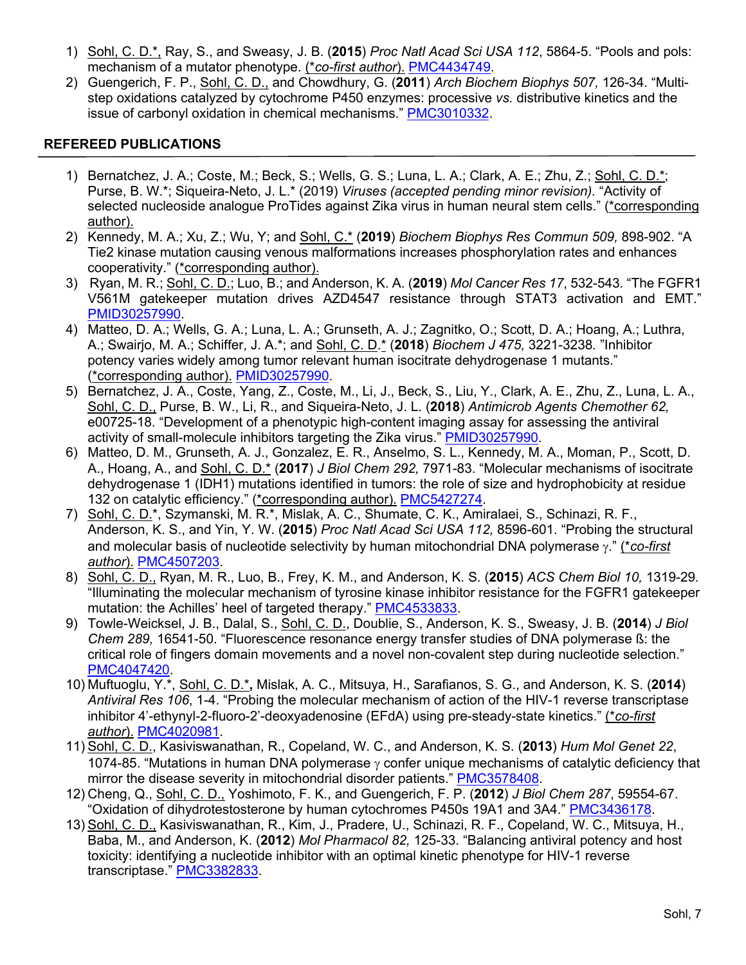- 1) Sohl, C. D.\*, Ray, S., and Sweasy, J. B. (**2015**) *Proc Natl Acad Sci USA 112*, 5864-5. "Pools and pols: mechanism of a mutator phenotype. (\**co-first author*). PMC4434749.
- 2) Guengerich, F. P., Sohl, C. D., and Chowdhury, G. (**2011**) *Arch Biochem Biophys 507,* 126-34. "Multistep oxidations catalyzed by cytochrome P450 enzymes: processive *vs.* distributive kinetics and the issue of carbonyl oxidation in chemical mechanisms." PMC3010332.

# **REFEREED PUBLICATIONS**

- 1) Bernatchez, J. A.; Coste, M.; Beck, S.; Wells, G. S.; Luna, L. A.; Clark, A. E.; Zhu, Z.; Sohl, C. D.\*; Purse, B. W.\*; Siqueira-Neto, J. L.\* (2019) *Viruses (accepted pending minor revision).* "Activity of selected nucleoside analogue ProTides against Zika virus in human neural stem cells." (\*corresponding author).
- 2) Kennedy, M. A.; Xu, Z.; Wu, Y; and Sohl, C.\* (**2019**) *Biochem Biophys Res Commun 509,* 898-902. "A Tie2 kinase mutation causing venous malformations increases phosphorylation rates and enhances cooperativity." (\*corresponding author).
- 3) Ryan, M. R.; Sohl, C. D.; Luo, B.; and Anderson, K. A. (**2019**) *Mol Cancer Res 17*, 532-543*.* "The FGFR1 V561M gatekeeper mutation drives AZD4547 resistance through STAT3 activation and EMT." PMID30257990.
- 4) Matteo, D. A.; Wells, G. A.; Luna, L. A.; Grunseth, A. J.; Zagnitko, O.; Scott, D. A.; Hoang, A.; Luthra, A.; Swairjo, M. A.; Schiffer, J. A.\*; and Sohl, C. D.\* (**2018**) *Biochem J 475,* 3221-3238*.* "Inhibitor potency varies widely among tumor relevant human isocitrate dehydrogenase 1 mutants." (\*corresponding author). PMID30257990.
- 5) Bernatchez, J. A., Coste, Yang, Z., Coste, M., Li, J., Beck, S., Liu, Y., Clark, A. E., Zhu, Z., Luna, L. A., Sohl, C. D., Purse, B. W., Li, R., and Siqueira-Neto, J. L. (**2018**) *Antimicrob Agents Chemother 62,*  e00725-18. "Development of a phenotypic high-content imaging assay for assessing the antiviral activity of small-molecule inhibitors targeting the Zika virus." PMID30257990.
- 6) Matteo, D. M., Grunseth, A. J., Gonzalez, E. R., Anselmo, S. L., Kennedy, M. A., Moman, P., Scott, D. A., Hoang, A., and Sohl, C. D.\* (**2017**) *J Biol Chem 292,* 7971-83. "Molecular mechanisms of isocitrate dehydrogenase 1 (IDH1) mutations identified in tumors: the role of size and hydrophobicity at residue 132 on catalytic efficiency." (\*corresponding author). PMC5427274.
- 7) Sohl, C. D.\*, Szymanski, M. R.\*, Mislak, A. C., Shumate, C. K., Amiralaei, S., Schinazi, R. F., Anderson, K. S., and Yin, Y. W. (**2015**) *Proc Natl Acad Sci USA 112,* 8596-601*.* "Probing the structural and molecular basis of nucleotide selectivity by human mitochondrial DNA polymerase y." (\**co-first author*). PMC4507203.
- 8) Sohl, C. D., Ryan, M. R., Luo, B., Frey, K. M., and Anderson, K. S. (**2015**) *ACS Chem Biol 10,* 1319-29*.* "Illuminating the molecular mechanism of tyrosine kinase inhibitor resistance for the FGFR1 gatekeeper mutation: the Achilles' heel of targeted therapy." PMC4533833.
- 9) Towle-Weicksel, J. B., Dalal, S., Sohl, C. D., Doublie, S., Anderson, K. S., Sweasy, J. B. (**2014**) *J Biol Chem 289,* 16541-50. "Fluorescence resonance energy transfer studies of DNA polymerase ß: the critical role of fingers domain movements and a novel non-covalent step during nucleotide selection." PMC4047420.
- 10) Muftuoglu, Y.\*, Sohl, C. D.\***,** Mislak, A. C., Mitsuya, H., Sarafianos, S. G., and Anderson, K. S. (**2014**) *Antiviral Res 106*, 1-4. "Probing the molecular mechanism of action of the HIV-1 reverse transcriptase inhibitor 4'-ethynyl-2-fluoro-2'-deoxyadenosine (EFdA) using pre-steady-state kinetics." (\**co-first author*). PMC4020981.
- 11) Sohl, C. D., Kasiviswanathan, R., Copeland, W. C., and Anderson, K. S. (**2013**) *Hum Mol Genet 22*, 1074-85. "Mutations in human DNA polymerase  $\gamma$  confer unique mechanisms of catalytic deficiency that mirror the disease severity in mitochondrial disorder patients." PMC3578408.
- 12) Cheng, Q., Sohl, C. D., Yoshimoto, F. K., and Guengerich, F. P. (**2012**) *J Biol Chem 287*, 59554-67. "Oxidation of dihydrotestosterone by human cytochromes P450s 19A1 and 3A4." PMC3436178.
- 13) Sohl, C. D., Kasiviswanathan, R., Kim, J., Pradere, U., Schinazi, R. F., Copeland, W. C., Mitsuya, H., Baba, M., and Anderson, K. (**2012**) *Mol Pharmacol 82,* 125-33. "Balancing antiviral potency and host toxicity: identifying a nucleotide inhibitor with an optimal kinetic phenotype for HIV-1 reverse transcriptase." PMC3382833.